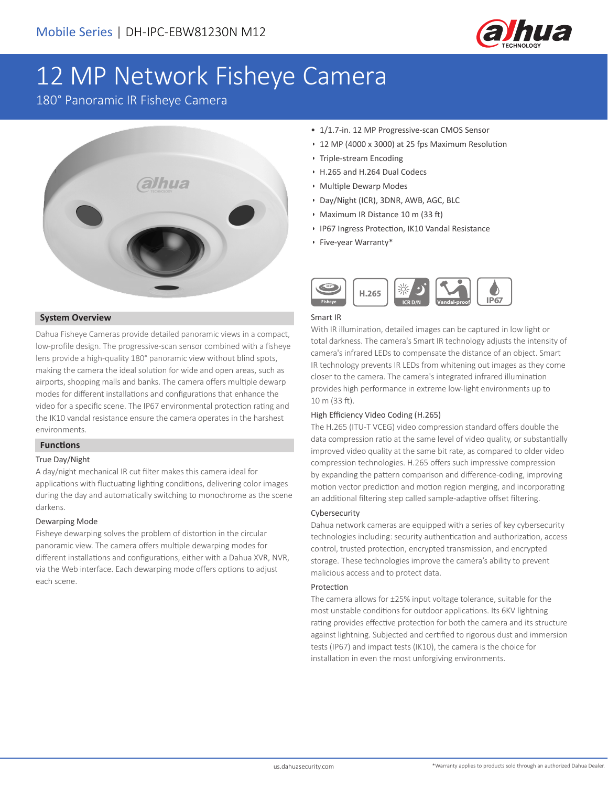

# 12 MP Network Fisheye Camera

180° Panoramic IR Fisheye Camera



### **System Overview**

Dahua Fisheye Cameras provide detailed panoramic views in a compact, low-profile design. The progressive-scan sensor combined with a fisheye lens provide a high-quality 180° panoramic view without blind spots, making the camera the ideal solution for wide and open areas, such as airports, shopping malls and banks. The camera offers multiple dewarp modes for different installations and configurations that enhance the video for a specific scene. The IP67 environmental protection rating and the IK10 vandal resistance ensure the camera operates in the harshest environments.

### **Functions**

### True Day/Night

A day/night mechanical IR cut filter makes this camera ideal for applications with fluctuating lighting conditions, delivering color images during the day and automatically switching to monochrome as the scene darkens.

#### Dewarping Mode

Fisheye dewarping solves the problem of distortion in the circular panoramic view. The camera offers multiple dewarping modes for different installations and configurations, either with a Dahua XVR, NVR, via the Web interface. Each dewarping mode offers options to adjust each scene.

- 1/1.7-in. 12 MP Progressive-scan CMOS Sensor
- 12 MP (4000 x 3000) at 25 fps Maximum Resolution
- Triple-stream Encoding
- H.265 and H.264 Dual Codecs
- Multiple Dewarp Modes
- Day/Night (ICR), 3DNR, AWB, AGC, BLC
- Maximum IR Distance 10 m (33 ft)
- IP67 Ingress Protection, IK10 Vandal Resistance
- Five-year Warranty\*



### Smart IR

With IR illumination, detailed images can be captured in low light or total darkness. The camera's Smart IR technology adjusts the intensity of camera's infrared LEDs to compensate the distance of an object. Smart IR technology prevents IR LEDs from whitening out images as they come closer to the camera. The camera's integrated infrared illumination provides high performance in extreme low-light environments up to 10 m (33 ft).

### High Efficiency Video Coding (H.265)

The H.265 (ITU-T VCEG) video compression standard offers double the data compression ratio at the same level of video quality, or substantially improved video quality at the same bit rate, as compared to older video compression technologies. H.265 offers such impressive compression by expanding the pattern comparison and difference-coding, improving motion vector prediction and motion region merging, and incorporating an additional filtering step called sample-adaptive offset filtering.

### Cybersecurity

Dahua network cameras are equipped with a series of key cybersecurity technologies including: security authentication and authorization, access control, trusted protection, encrypted transmission, and encrypted storage. These technologies improve the camera's ability to prevent malicious access and to protect data.

### Protection

The camera allows for ±25% input voltage tolerance, suitable for the most unstable conditions for outdoor applications. Its 6KV lightning rating provides effective protection for both the camera and its structure against lightning. Subjected and certified to rigorous dust and immersion tests (IP67) and impact tests (IK10), the camera is the choice for installation in even the most unforgiving environments.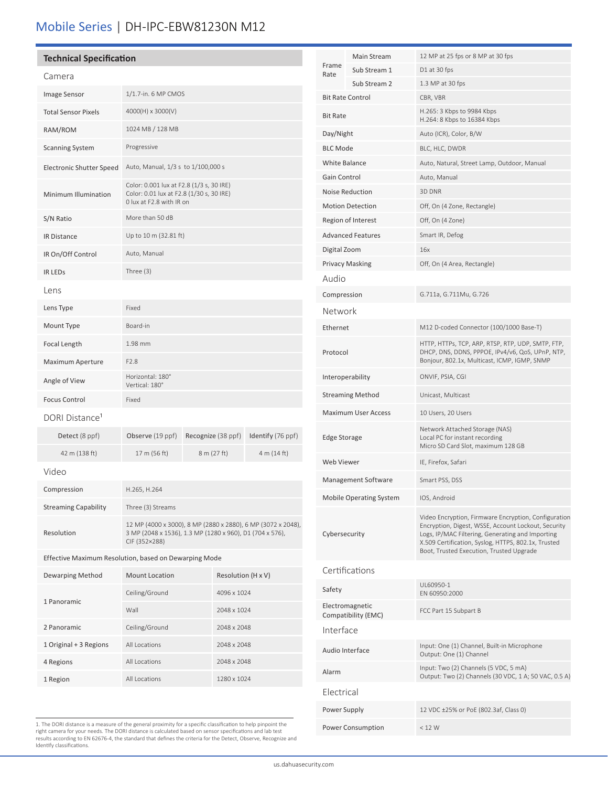## Mobile Series | DH-IPC-EBW81230N M12

### **Technical Specification**

| Camera                                                |                                                                                                                                           |                    |                    |                   |  |
|-------------------------------------------------------|-------------------------------------------------------------------------------------------------------------------------------------------|--------------------|--------------------|-------------------|--|
| Image Sensor                                          | 1/1.7-in. 6 MP CMOS                                                                                                                       |                    |                    |                   |  |
| <b>Total Sensor Pixels</b>                            | 4000(H) x 3000(V)                                                                                                                         |                    |                    |                   |  |
| RAM/ROM                                               | 1024 MB / 128 MB                                                                                                                          |                    |                    |                   |  |
| <b>Scanning System</b>                                | Progressive                                                                                                                               |                    |                    |                   |  |
| Electronic Shutter Speed                              | Auto, Manual, 1/3 s to 1/100,000 s                                                                                                        |                    |                    |                   |  |
| Minimum Illumination                                  | Color: 0.001 lux at F2.8 (1/3 s, 30 IRE)<br>Color: 0.01 lux at F2.8 (1/30 s, 30 IRE)<br>0 lux at F2.8 with IR on                          |                    |                    |                   |  |
| S/N Ratio                                             | More than 50 dB                                                                                                                           |                    |                    |                   |  |
| <b>IR Distance</b>                                    | Up to 10 m (32.81 ft)                                                                                                                     |                    |                    |                   |  |
| IR On/Off Control                                     | Auto, Manual                                                                                                                              |                    |                    |                   |  |
| <b>IR LEDS</b>                                        | Three $(3)$                                                                                                                               |                    |                    |                   |  |
| l ens                                                 |                                                                                                                                           |                    |                    |                   |  |
| Lens Type                                             | Fixed                                                                                                                                     |                    |                    |                   |  |
| Mount Type                                            | Board-in                                                                                                                                  |                    |                    |                   |  |
| Focal Length                                          | 1.98 mm                                                                                                                                   |                    |                    |                   |  |
| Maximum Aperture                                      | F <sub>2.8</sub>                                                                                                                          |                    |                    |                   |  |
| Angle of View                                         | Horizontal: 180°<br>Vertical: 180°                                                                                                        |                    |                    |                   |  |
| <b>Focus Control</b>                                  | Fixed                                                                                                                                     |                    |                    |                   |  |
| DORI Distance <sup>1</sup>                            |                                                                                                                                           |                    |                    |                   |  |
| Detect (8 ppf)                                        | Observe (19 ppf)                                                                                                                          | Recognize (38 ppf) |                    | Identify (76 ppf) |  |
| 42 m (138 ft)                                         | 17 m (56 ft)                                                                                                                              |                    | 8 m (27 ft)        | 4 m (14 ft)       |  |
| Video                                                 |                                                                                                                                           |                    |                    |                   |  |
| Compression                                           | H.265, H.264                                                                                                                              |                    |                    |                   |  |
| <b>Streaming Capability</b>                           | Three (3) Streams                                                                                                                         |                    |                    |                   |  |
| Resolution                                            | 12 MP (4000 x 3000), 8 MP (2880 x 2880), 6 MP (3072 x 2048),<br>3 MP (2048 x 1536), 1.3 MP (1280 x 960), D1 (704 x 576),<br>CIF (352×288) |                    |                    |                   |  |
| Effective Maximum Resolution, based on Dewarping Mode |                                                                                                                                           |                    |                    |                   |  |
| Dewarping Method                                      | <b>Mount Location</b>                                                                                                                     |                    | Resolution (H x V) |                   |  |
| 1 Panoramic                                           | Ceiling/Ground<br>4096 x 1024                                                                                                             |                    |                    |                   |  |
|                                                       | Wall<br>2048 x 1024                                                                                                                       |                    |                    |                   |  |
| 2 Panoramic                                           | Ceiling/Ground                                                                                                                            |                    | 2048 x 2048        |                   |  |
| 1 Original + 3 Regions                                | All Locations                                                                                                                             |                    | 2048 x 2048        |                   |  |
| 4 Regions                                             | All Locations                                                                                                                             |                    | 2048 x 2048        |                   |  |

| 1. The DORI distance is a measure of the general proximity for a specific classification to help pinpoint the  |
|----------------------------------------------------------------------------------------------------------------|
| right camera for your needs. The DORI distance is calculated based on sensor specifications and lab test       |
| results according to EN 62676-4, the standard that defines the criteria for the Detect, Observe, Recognize and |
| Identify classifications.                                                                                      |

1 Region All Locations 1280 x 1024

| Frame<br>Rate              | Main Stream                            | 12 MP at 25 fps or 8 MP at 30 fps                                                                                                                                                                                                                                  |  |  |
|----------------------------|----------------------------------------|--------------------------------------------------------------------------------------------------------------------------------------------------------------------------------------------------------------------------------------------------------------------|--|--|
|                            | Sub Stream 1                           | D1 at 30 fps                                                                                                                                                                                                                                                       |  |  |
|                            | Sub Stream 2                           | 1.3 MP at 30 fps                                                                                                                                                                                                                                                   |  |  |
| <b>Bit Rate Control</b>    |                                        | CBR, VBR                                                                                                                                                                                                                                                           |  |  |
| <b>Bit Rate</b>            |                                        | H.265: 3 Kbps to 9984 Kbps<br>H.264: 8 Kbps to 16384 Kbps                                                                                                                                                                                                          |  |  |
| Day/Night                  |                                        | Auto (ICR), Color, B/W                                                                                                                                                                                                                                             |  |  |
| <b>BLC Mode</b>            |                                        | BLC, HLC, DWDR                                                                                                                                                                                                                                                     |  |  |
| White Balance              |                                        | Auto, Natural, Street Lamp, Outdoor, Manual                                                                                                                                                                                                                        |  |  |
| Gain Control               |                                        | Auto, Manual                                                                                                                                                                                                                                                       |  |  |
| <b>Noise Reduction</b>     |                                        | 3D DNR                                                                                                                                                                                                                                                             |  |  |
| <b>Motion Detection</b>    |                                        | Off, On (4 Zone, Rectangle)                                                                                                                                                                                                                                        |  |  |
|                            | Region of Interest                     | Off, On (4 Zone)                                                                                                                                                                                                                                                   |  |  |
|                            | <b>Advanced Features</b>               | Smart IR, Defog                                                                                                                                                                                                                                                    |  |  |
| Digital Zoom               |                                        | 16x                                                                                                                                                                                                                                                                |  |  |
|                            | <b>Privacy Masking</b>                 | Off, On (4 Area, Rectangle)                                                                                                                                                                                                                                        |  |  |
| Audio                      |                                        |                                                                                                                                                                                                                                                                    |  |  |
|                            |                                        |                                                                                                                                                                                                                                                                    |  |  |
| Compression                |                                        | G.711a, G.711Mu, G.726                                                                                                                                                                                                                                             |  |  |
| Network                    |                                        |                                                                                                                                                                                                                                                                    |  |  |
| Ethernet                   |                                        | M12 D-coded Connector (100/1000 Base-T)                                                                                                                                                                                                                            |  |  |
| Protocol                   |                                        | HTTP, HTTPs, TCP, ARP, RTSP, RTP, UDP, SMTP, FTP,<br>DHCP, DNS, DDNS, PPPOE, IPv4/v6, QoS, UPnP, NTP,<br>Bonjour, 802.1x, Multicast, ICMP, IGMP, SNMP                                                                                                              |  |  |
| Interoperability           |                                        | ONVIF, PSIA, CGI                                                                                                                                                                                                                                                   |  |  |
| <b>Streaming Method</b>    |                                        | Unicast, Multicast                                                                                                                                                                                                                                                 |  |  |
| <b>Maximum User Access</b> |                                        | 10 Users, 20 Users                                                                                                                                                                                                                                                 |  |  |
| <b>Edge Storage</b>        |                                        | Network Attached Storage (NAS)<br>Local PC for instant recording<br>Micro SD Card Slot, maximum 128 GB                                                                                                                                                             |  |  |
| Web Viewer                 |                                        | IE, Firefox, Safari                                                                                                                                                                                                                                                |  |  |
|                            | Management Software                    | Smart PSS, DSS                                                                                                                                                                                                                                                     |  |  |
| Mobile Operating System    |                                        | IOS, Android                                                                                                                                                                                                                                                       |  |  |
| Cybersecurity              |                                        | Video Encryption, Firmware Encryption, Configuration<br>Encryption, Digest, WSSE, Account Lockout, Security<br>Logs, IP/MAC Filtering, Generating and Importing<br>X.509 Certification, Syslog, HTTPS, 802.1x, Trusted<br>Boot, Trusted Execution, Trusted Upgrade |  |  |
|                            | Certifications                         |                                                                                                                                                                                                                                                                    |  |  |
| Safety                     |                                        | UL60950-1<br>EN 60950:2000                                                                                                                                                                                                                                         |  |  |
|                            | Electromagnetic<br>Compatibility (EMC) | FCC Part 15 Subpart B                                                                                                                                                                                                                                              |  |  |
| Interface                  |                                        |                                                                                                                                                                                                                                                                    |  |  |
| Audio Interface            |                                        | Input: One (1) Channel, Built-in Microphone<br>Output: One (1) Channel                                                                                                                                                                                             |  |  |
| Alarm                      |                                        | Input: Two (2) Channels (5 VDC, 5 mA)<br>Output: Two (2) Channels (30 VDC, 1 A; 50 VAC, 0.5 A)                                                                                                                                                                     |  |  |
| Electrical                 |                                        |                                                                                                                                                                                                                                                                    |  |  |
| Power Supply               |                                        | 12 VDC ±25% or PoE (802.3af, Class 0)                                                                                                                                                                                                                              |  |  |
|                            | Power Consumption                      | < 12 W                                                                                                                                                                                                                                                             |  |  |